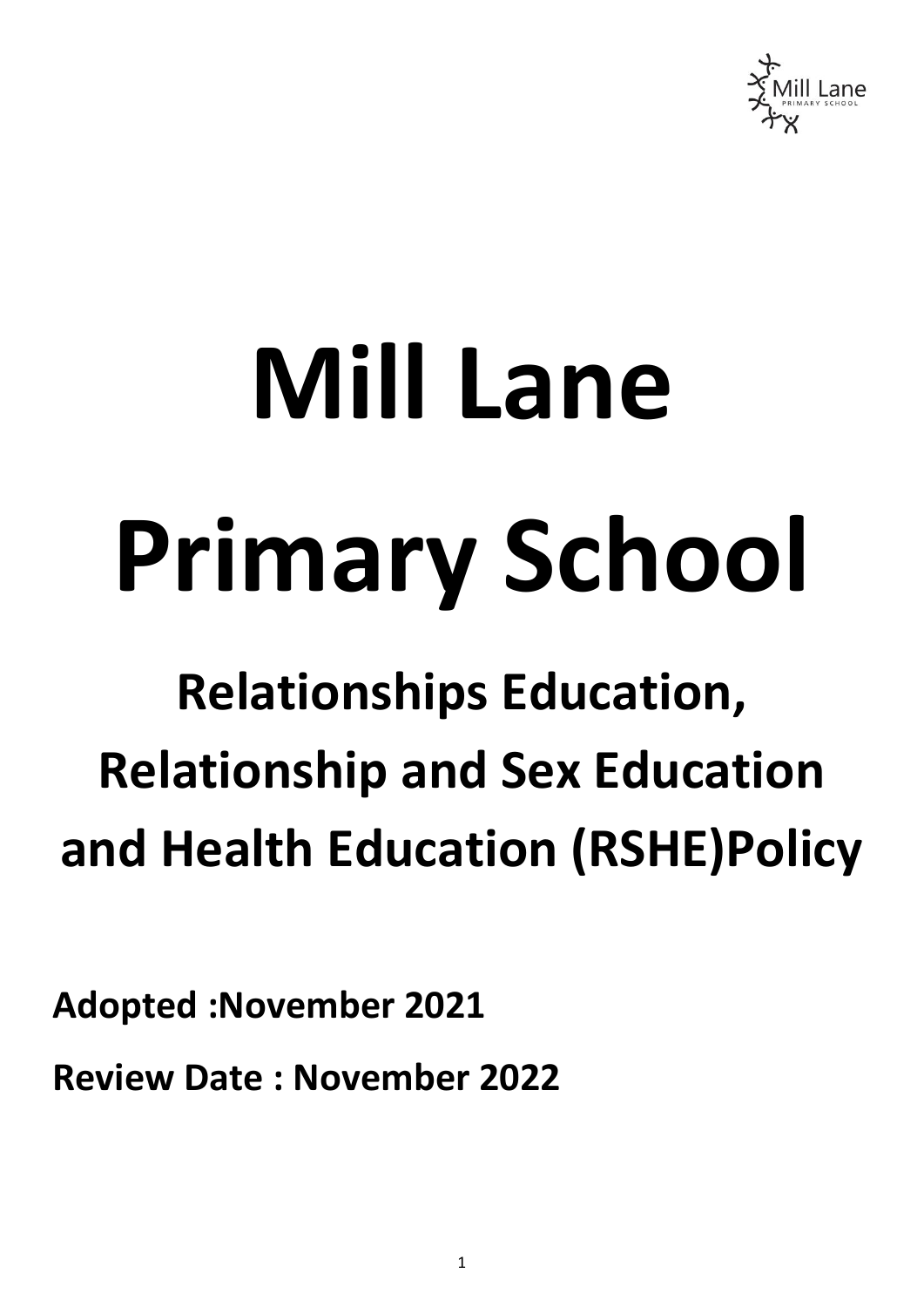

# **Mill Lane Primary School**

# **Relationships Education, Relationship and Sex Education and Health Education (RSHE)Policy**

**Adopted :November 2021**

**Review Date : November 2022**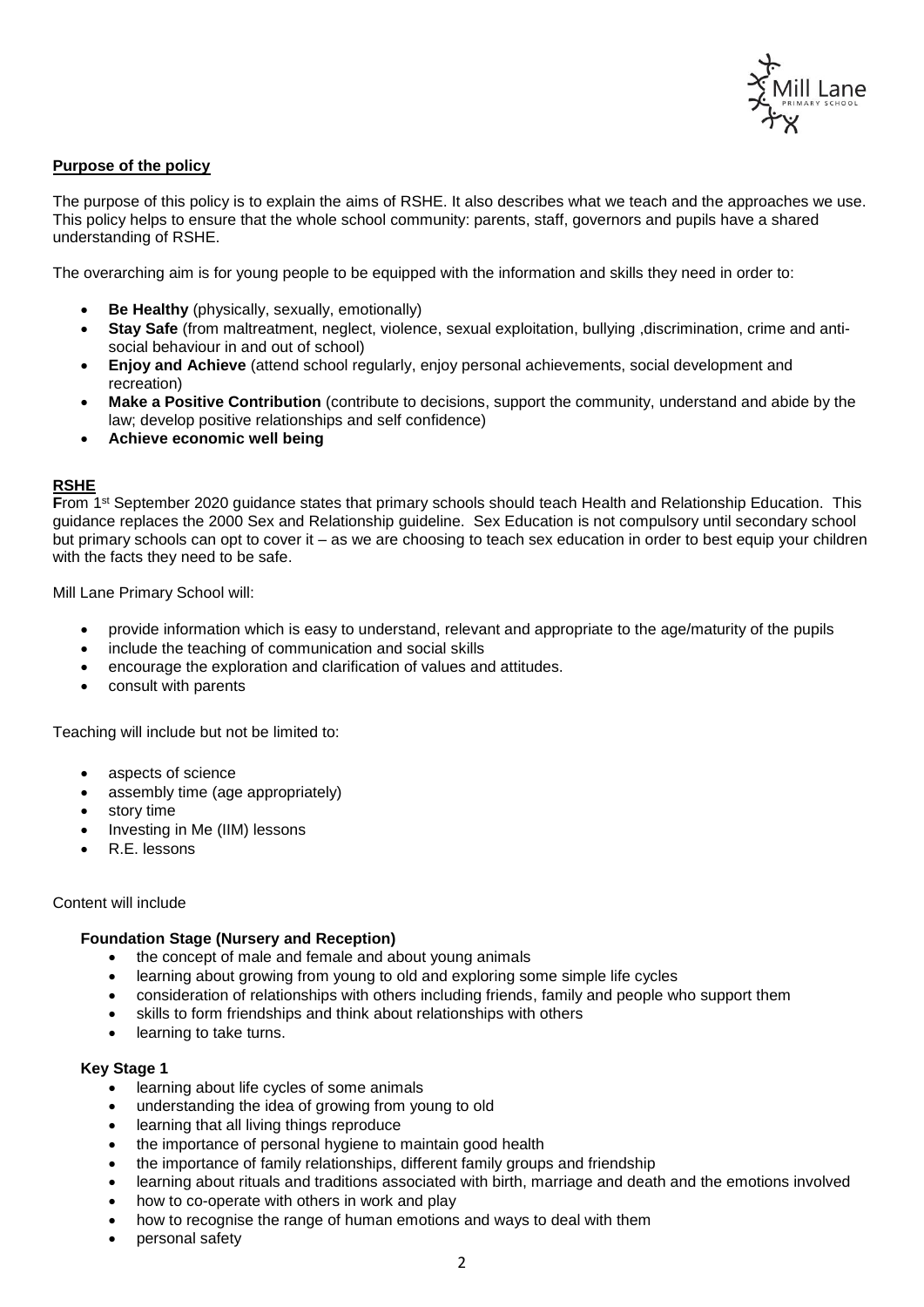

# **Purpose of the policy**

The purpose of this policy is to explain the aims of RSHE. It also describes what we teach and the approaches we use. This policy helps to ensure that the whole school community: parents, staff, governors and pupils have a shared understanding of RSHE.

The overarching aim is for young people to be equipped with the information and skills they need in order to:

- **Be Healthy** (physically, sexually, emotionally)
- **Stay Safe** (from maltreatment, neglect, violence, sexual exploitation, bullying ,discrimination, crime and antisocial behaviour in and out of school)
- **Enjoy and Achieve** (attend school regularly, enjoy personal achievements, social development and recreation)
- **Make a Positive Contribution** (contribute to decisions, support the community, understand and abide by the law; develop positive relationships and self confidence)
- **Achieve economic well being**

## **RSHE**

**From** 1<sup>st</sup> September 2020 guidance states that primary schools should teach Health and Relationship Education. This guidance replaces the 2000 Sex and Relationship guideline. Sex Education is not compulsory until secondary school but primary schools can opt to cover it – as we are choosing to teach sex education in order to best equip your children with the facts they need to be safe.

Mill Lane Primary School will:

- provide information which is easy to understand, relevant and appropriate to the age/maturity of the pupils
- include the teaching of communication and social skills
- encourage the exploration and clarification of values and attitudes.
- consult with parents

Teaching will include but not be limited to:

- aspects of science
- assembly time (age appropriately)
- story time
- Investing in Me (IIM) lessons
- R.E. lessons

### Content will include

## **Foundation Stage (Nursery and Reception)**

- the concept of male and female and about young animals
- learning about growing from young to old and exploring some simple life cycles
- consideration of relationships with others including friends, family and people who support them
- skills to form friendships and think about relationships with others
- learning to take turns.

## **Key Stage 1**

- learning about life cycles of some animals
- understanding the idea of growing from young to old
- learning that all living things reproduce
- the importance of personal hygiene to maintain good health
- the importance of family relationships, different family groups and friendship
- learning about rituals and traditions associated with birth, marriage and death and the emotions involved
- how to co-operate with others in work and play
- how to recognise the range of human emotions and ways to deal with them
- personal safety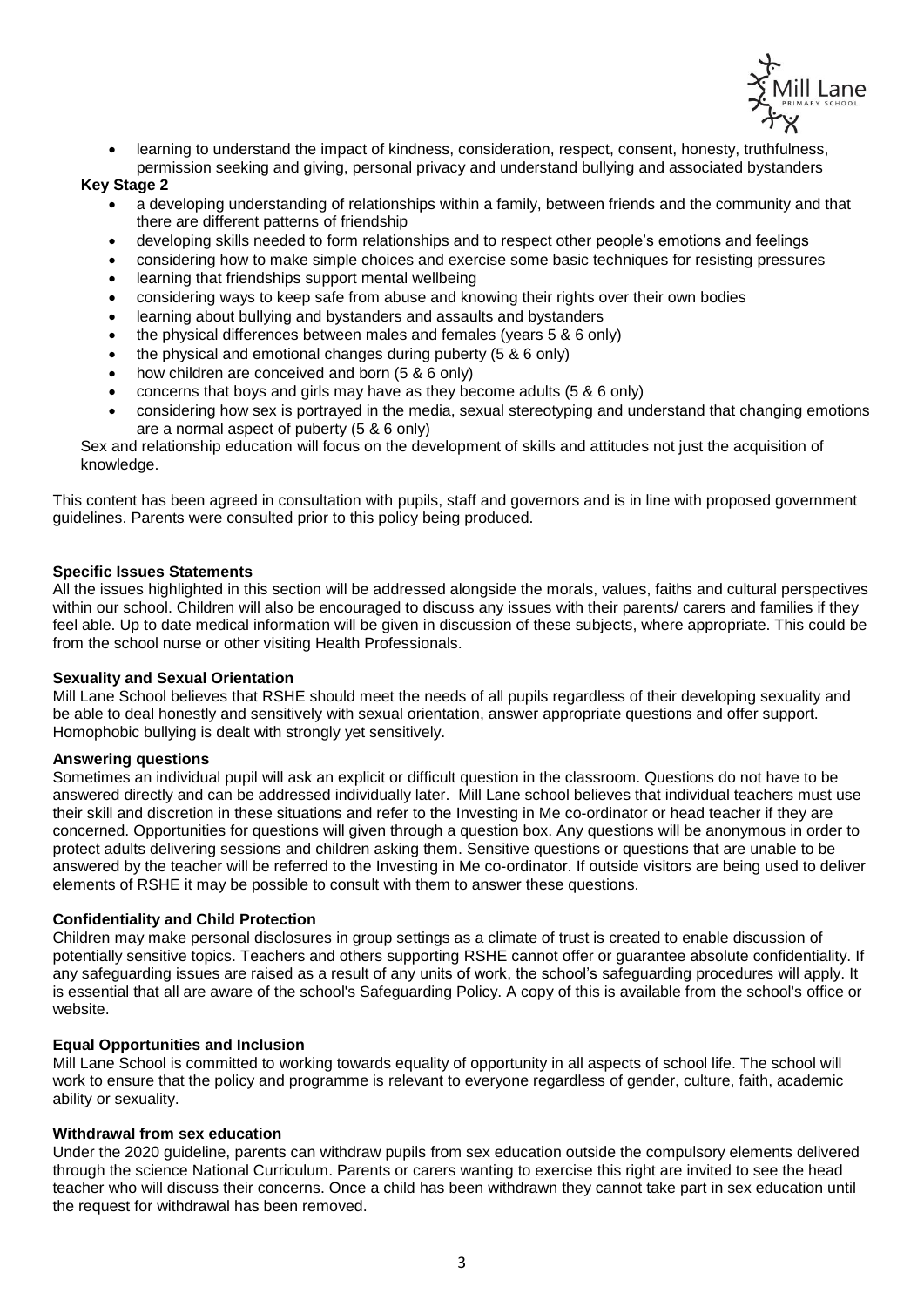

 learning to understand the impact of kindness, consideration, respect, consent, honesty, truthfulness, permission seeking and giving, personal privacy and understand bullying and associated bystanders

# **Key Stage 2**

- a developing understanding of relationships within a family, between friends and the community and that there are different patterns of friendship
- developing skills needed to form relationships and to respect other people's emotions and feelings
- considering how to make simple choices and exercise some basic techniques for resisting pressures
- learning that friendships support mental wellbeing
- considering ways to keep safe from abuse and knowing their rights over their own bodies
- learning about bullying and bystanders and assaults and bystanders
- the physical differences between males and females (years 5 & 6 only)
- the physical and emotional changes during puberty (5 & 6 only)
- how children are conceived and born (5 & 6 only)
- concerns that boys and girls may have as they become adults (5 & 6 only)
- considering how sex is portrayed in the media, sexual stereotyping and understand that changing emotions are a normal aspect of puberty (5 & 6 only)

Sex and relationship education will focus on the development of skills and attitudes not just the acquisition of knowledge.

This content has been agreed in consultation with pupils, staff and governors and is in line with proposed government guidelines. Parents were consulted prior to this policy being produced.

## **Specific Issues Statements**

All the issues highlighted in this section will be addressed alongside the morals, values, faiths and cultural perspectives within our school. Children will also be encouraged to discuss any issues with their parents/ carers and families if they feel able. Up to date medical information will be given in discussion of these subjects, where appropriate. This could be from the school nurse or other visiting Health Professionals.

## **Sexuality and Sexual Orientation**

Mill Lane School believes that RSHE should meet the needs of all pupils regardless of their developing sexuality and be able to deal honestly and sensitively with sexual orientation, answer appropriate questions and offer support. Homophobic bullying is dealt with strongly yet sensitively.

## **Answering questions**

Sometimes an individual pupil will ask an explicit or difficult question in the classroom. Questions do not have to be answered directly and can be addressed individually later. Mill Lane school believes that individual teachers must use their skill and discretion in these situations and refer to the Investing in Me co-ordinator or head teacher if they are concerned. Opportunities for questions will given through a question box. Any questions will be anonymous in order to protect adults delivering sessions and children asking them. Sensitive questions or questions that are unable to be answered by the teacher will be referred to the Investing in Me co-ordinator. If outside visitors are being used to deliver elements of RSHE it may be possible to consult with them to answer these questions.

## **Confidentiality and Child Protection**

Children may make personal disclosures in group settings as a climate of trust is created to enable discussion of potentially sensitive topics. Teachers and others supporting RSHE cannot offer or guarantee absolute confidentiality. If any safeguarding issues are raised as a result of any units of work, the school's safeguarding procedures will apply. It is essential that all are aware of the school's Safeguarding Policy. A copy of this is available from the school's office or website.

## **Equal Opportunities and Inclusion**

Mill Lane School is committed to working towards equality of opportunity in all aspects of school life. The school will work to ensure that the policy and programme is relevant to everyone regardless of gender, culture, faith, academic ability or sexuality.

## **Withdrawal from sex education**

Under the 2020 guideline, parents can withdraw pupils from sex education outside the compulsory elements delivered through the science National Curriculum. Parents or carers wanting to exercise this right are invited to see the head teacher who will discuss their concerns. Once a child has been withdrawn they cannot take part in sex education until the request for withdrawal has been removed.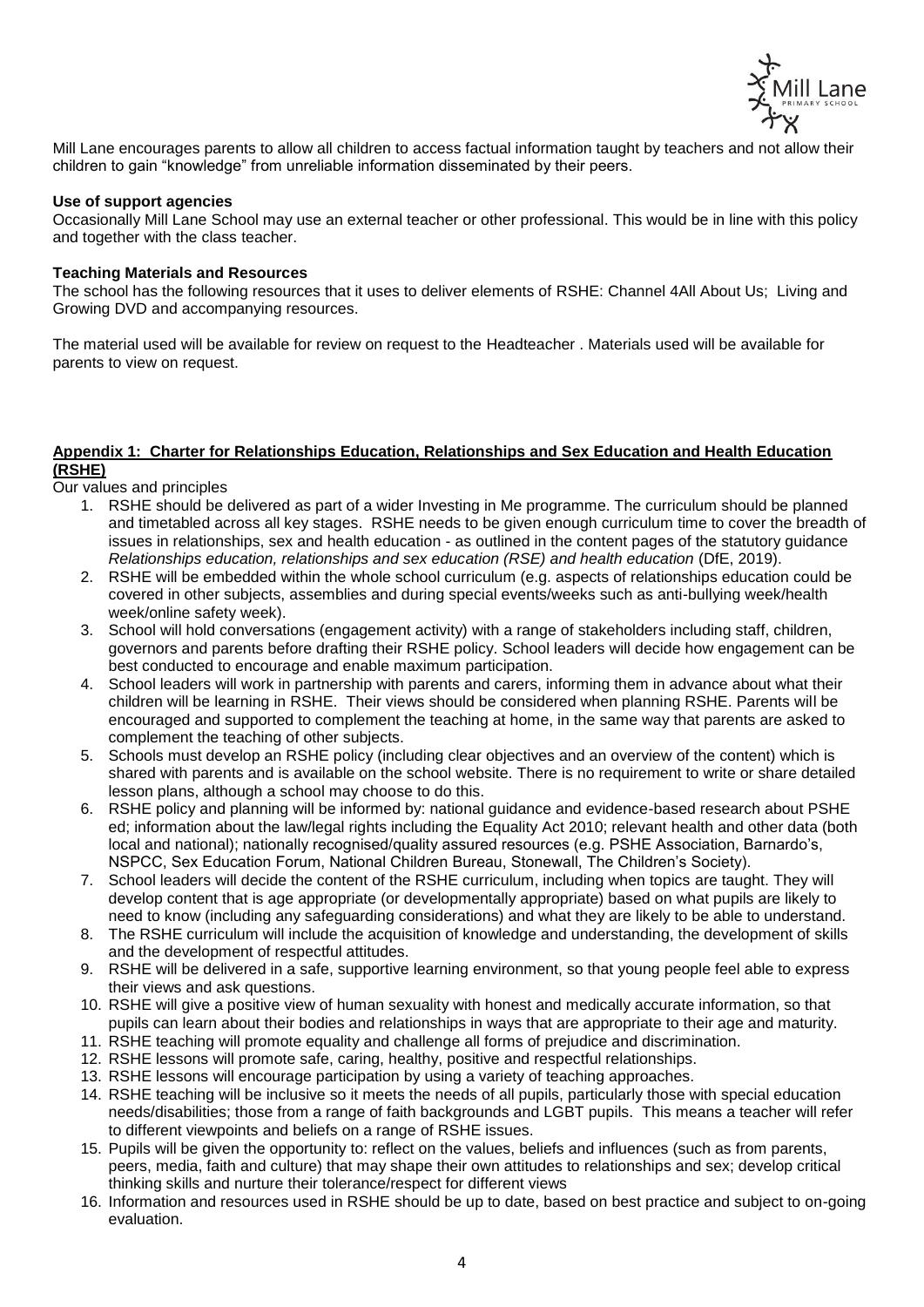

Mill Lane encourages parents to allow all children to access factual information taught by teachers and not allow their children to gain "knowledge" from unreliable information disseminated by their peers.

## **Use of support agencies**

Occasionally Mill Lane School may use an external teacher or other professional. This would be in line with this policy and together with the class teacher.

### **Teaching Materials and Resources**

The school has the following resources that it uses to deliver elements of RSHE: Channel 4All About Us; Living and Growing DVD and accompanying resources.

The material used will be available for review on request to the Headteacher . Materials used will be available for parents to view on request.

### **Appendix 1: Charter for Relationships Education, Relationships and Sex Education and Health Education (RSHE)**

Our values and principles

- 1. RSHE should be delivered as part of a wider Investing in Me programme. The curriculum should be planned and timetabled across all key stages. RSHE needs to be given enough curriculum time to cover the breadth of issues in relationships, sex and health education - as outlined in the content pages of the statutory guidance *Relationships education, relationships and sex education (RSE) and health education* (DfE, 2019).
- 2. RSHE will be embedded within the whole school curriculum (e.g. aspects of relationships education could be covered in other subjects, assemblies and during special events/weeks such as anti-bullying week/health week/online safety week).
- 3. School will hold conversations (engagement activity) with a range of stakeholders including staff, children, governors and parents before drafting their RSHE policy. School leaders will decide how engagement can be best conducted to encourage and enable maximum participation.
- 4. School leaders will work in partnership with parents and carers, informing them in advance about what their children will be learning in RSHE. Their views should be considered when planning RSHE. Parents will be encouraged and supported to complement the teaching at home, in the same way that parents are asked to complement the teaching of other subjects.
- 5. Schools must develop an RSHE policy (including clear objectives and an overview of the content) which is shared with parents and is available on the school website. There is no requirement to write or share detailed lesson plans, although a school may choose to do this.
- 6. RSHE policy and planning will be informed by: national guidance and evidence-based research about PSHE ed; information about the law/legal rights including the Equality Act 2010; relevant health and other data (both local and national); nationally recognised/quality assured resources (e.g. PSHE Association, Barnardo's, NSPCC, Sex Education Forum, National Children Bureau, Stonewall, The Children's Society).
- 7. School leaders will decide the content of the RSHE curriculum, including when topics are taught. They will develop content that is age appropriate (or developmentally appropriate) based on what pupils are likely to need to know (including any safeguarding considerations) and what they are likely to be able to understand.
- 8. The RSHE curriculum will include the acquisition of knowledge and understanding, the development of skills and the development of respectful attitudes.
- 9. RSHE will be delivered in a safe, supportive learning environment, so that young people feel able to express their views and ask questions.
- 10. RSHE will give a positive view of human sexuality with honest and medically accurate information, so that pupils can learn about their bodies and relationships in ways that are appropriate to their age and maturity.
- 11. RSHE teaching will promote equality and challenge all forms of prejudice and discrimination.
- 12. RSHE lessons will promote safe, caring, healthy, positive and respectful relationships.
- 13. RSHE lessons will encourage participation by using a variety of teaching approaches.
- 14. RSHE teaching will be inclusive so it meets the needs of all pupils, particularly those with special education needs/disabilities; those from a range of faith backgrounds and LGBT pupils. This means a teacher will refer to different viewpoints and beliefs on a range of RSHE issues.
- 15. Pupils will be given the opportunity to: reflect on the values, beliefs and influences (such as from parents, peers, media, faith and culture) that may shape their own attitudes to relationships and sex; develop critical thinking skills and nurture their tolerance/respect for different views
- 16. Information and resources used in RSHE should be up to date, based on best practice and subject to on-going evaluation.